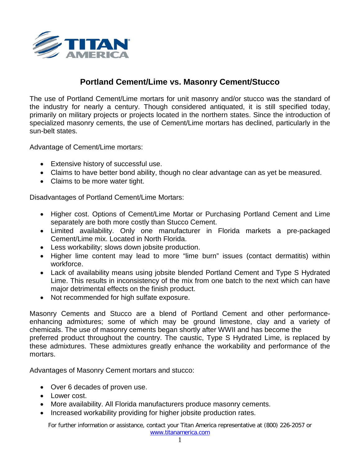

## **Portland Cement/Lime vs. Masonry Cement/Stucco**

The use of Portland Cement/Lime mortars for unit masonry and/or stucco was the standard of the industry for nearly a century. Though considered antiquated, it is still specified today, primarily on military projects or projects located in the northern states. Since the introduction of specialized masonry cements, the use of Cement/Lime mortars has declined, particularly in the sun-belt states.

Advantage of Cement/Lime mortars:

- Extensive history of successful use.
- Claims to have better bond ability, though no clear advantage can as yet be measured.
- Claims to be more water tight.

Disadvantages of Portland Cement/Lime Mortars:

- Higher cost. Options of Cement/Lime Mortar or Purchasing Portland Cement and Lime separately are both more costly than Stucco Cement.
- Limited availability. Only one manufacturer in Florida markets a pre-packaged Cement/Lime mix. Located in North Florida.
- Less workability; slows down jobsite production.
- Higher lime content may lead to more "lime burn" issues (contact dermatitis) within workforce.
- Lack of availability means using jobsite blended Portland Cement and Type S Hydrated Lime. This results in inconsistency of the mix from one batch to the next which can have major detrimental effects on the finish product.
- Not recommended for high sulfate exposure.

Masonry Cements and Stucco are a blend of Portland Cement and other performanceenhancing admixtures; some of which may be ground limestone, clay and a variety of chemicals. The use of masonry cements began shortly after WWII and has become the preferred product throughout the country. The caustic, Type S Hydrated Lime, is replaced by these admixtures. These admixtures greatly enhance the workability and performance of the mortars.

Advantages of Masonry Cement mortars and stucco:

- Over 6 decades of proven use.
- Lower cost.
- More availability. All Florida manufacturers produce masonry cements.
- Increased workability providing for higher jobsite production rates.

For further information or assistance, contact your Titan America representative at (800) 226-2057 or [www.titanamerica.com](http://www.titanamerica.com/)